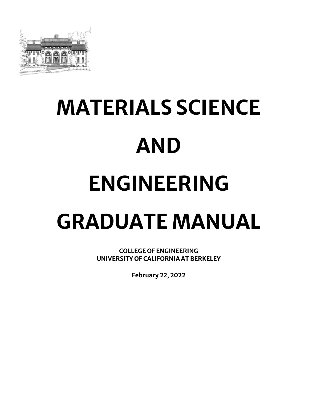

# **MATERIALS SCIENCE AND ENGINEERING GRADUATE MANUAL**

**COLLEGE OF ENGINEERING UNIVERSITY OF CALIFORNIA AT BERKELEY**

**February 22, 2022**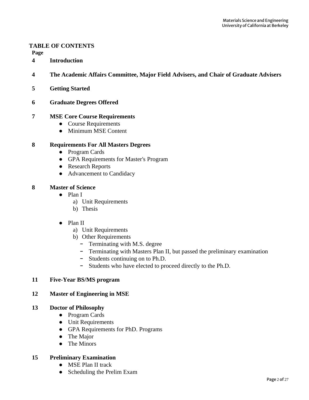#### **TABLE OF CONTENTS**

**Page**

- **4 Introduction**
- **4 The Academic Affairs Committee, Major Field Advisers, and Chair of Graduate Advisers**
- **5 Getting Started**
- **6 Graduate Degrees Offered**

#### **7 MSE Core Course Requirements**

- Course Requirements
- Minimum MSE Content

#### **8 Requirements For All Masters Degrees**

- Program Cards
- GPA Requirements for Master's Program
- Research Reports
- Advancement to Candidacy

#### **8 Master of Science**

- Plan I
	- a) Unit Requirements
	- b) Thesis
- Plan II
	- a) Unit Requirements
	- b) Other Requirements
		- Terminating with M.S. degree
		- Terminating with Masters Plan II, but passed the preliminary examination
		- Students continuing on to Ph.D.
		- Students who have elected to proceed directly to the Ph.D.

#### **11 Five-Year BS/MS program**

#### **12 Master of Engineering in MSE**

#### **13 Doctor of Philosophy**

- Program Cards
- Unit Requirements
- GPA Requirements for PhD. Programs
- The Major
- The Minors

#### **15 Preliminary Examination**

- MSE Plan II track
- Scheduling the Prelim Exam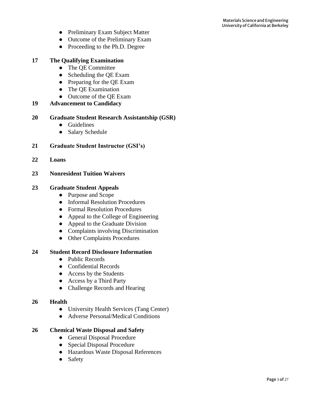- Preliminary Exam Subject Matter
- Outcome of the Preliminary Exam
- Proceeding to the Ph.D. Degree

#### **17 The Qualifying Examination**

- The OE Committee
- Scheduling the QE Exam
- Preparing for the QE Exam
- The QE Examination
- Outcome of the OE Exam

#### **19 Advancement to Candidacy**

#### **20 Graduate Student Research Assistantship (GSR)**

- Guidelines
- Salary Schedule
- **21 Graduate Student Instructor (GSI's)**
- **22 Loans**
- **23 Nonresident Tuition Waivers**

#### **23 Graduate Student Appeals**

- Purpose and Scope
- Informal Resolution Procedures
- Formal Resolution Procedures
- Appeal to the College of Engineering
- Appeal to the Graduate Division
- Complaints involving Discrimination
- Other Complaints Procedures

#### **24 Student Record Disclosure Information**

- Public Records
- Confidential Records
- Access by the Students
- Access by a Third Party
- Challenge Records and Hearing

#### **26 Health**

- University Health Services (Tang Center)
- Adverse Personal/Medical Conditions

#### **26 Chemical Waste Disposal and Safety**

- General Disposal Procedure
- Special Disposal Procedure
- Hazardous Waste Disposal References
- Safety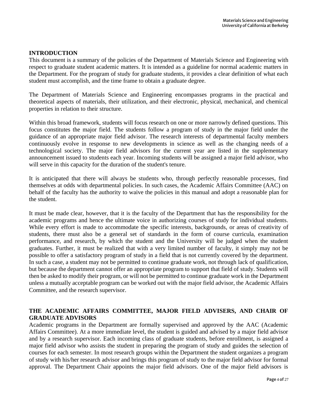#### **INTRODUCTION**

This document is a summary of the policies of the Department of Materials Science and Engineering with respect to graduate student academic matters. It is intended as a guideline for normal academic matters in the Department. For the program of study for graduate students, it provides a clear definition of what each student must accomplish, and the time frame to obtain a graduate degree.

The Department of Materials Science and Engineering encompasses programs in the practical and theoretical aspects of materials, their utilization, and their electronic, physical, mechanical, and chemical properties in relation to their structure.

Within this broad framework, students will focus research on one or more narrowly defined questions. This focus constitutes the major field. The students follow a program of study in the major field under the guidance of an appropriate major field advisor. The research interests of departmental faculty members continuously evolve in response to new developments in science as well as the changing needs of a technological society. The major field advisors for the current year are listed in the supplementary announcement issued to students each year. Incoming students will be assigned a major field advisor, who will serve in this capacity for the duration of the student's tenure.

It is anticipated that there will always be students who, through perfectly reasonable processes, find themselves at odds with departmental policies. In such cases, the Academic Affairs Committee (AAC) on behalf of the faculty has the authority to waive the policies in this manual and adopt a reasonable plan for the student.

It must be made clear, however, that it is the faculty of the Department that has the responsibility for the academic programs and hence the ultimate voice in authorizing courses of study for individual students. While every effort is made to accommodate the specific interests, backgrounds, or areas of creativity of students, there must also be a general set of standards in the form of course curricula, examination performance, and research, by which the student and the University will be judged when the student graduates. Further, it must be realized that with a very limited number of faculty, it simply may not be possible to offer a satisfactory program of study in a field that is not currently covered by the department. In such a case, a student may not be permitted to continue graduate work, not through lack of qualification, but because the department cannot offer an appropriate program to support that field of study. Students will then be asked to modify their program, or will not be permitted to continue graduate work in the Department unless a mutually acceptable program can be worked out with the major field advisor, the Academic Affairs Committee, and the research supervisor.

## **THE ACADEMIC AFFAIRS COMMITTEE, MAJOR FIELD ADVISERS, AND CHAIR OF GRADUATE ADVISORS**

Academic programs in the Department are formally supervised and approved by the AAC (Academic Affairs Committee). At a more immediate level, the student is guided and advised by a major field advisor and by a research supervisor. Each incoming class of graduate students, before enrollment, is assigned a major field advisor who assists the student in preparing the program of study and guides the selection of courses for each semester. In most research groups within the Department the student organizes a program of study with his/her research advisor and brings this program of study to the major field advisor for formal approval. The Department Chair appoints the major field advisors. One of the major field advisors is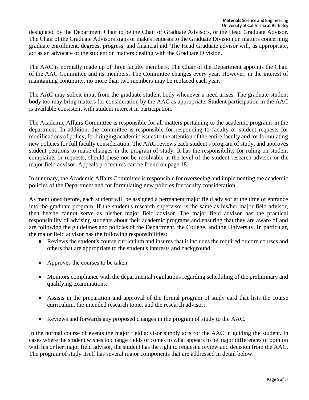designated by the Department Chair to be the Chair of Graduate Advisors, or the Head Graduate Advisor. The Chair of the Graduate Advisors signs or makes requests to the Graduate Division on matters concerning graduate enrollment, degrees, progress, and financial aid. The Head Graduate advisor will, as appropriate, act as an advocate of the student on matters dealing with the Graduate Division.

The AAC is normally made up of three faculty members. The Chair of the Department appoints the Chair of the AAC Committee and its members. The Committee changes every year. However, in the interest of maintaining continuity, no more than two members may be replaced each year.

The AAC may solicit input from the graduate student body whenever a need arises. The graduate student body too may bring matters for consideration by the AAC as appropriate. Student participation in the AAC is available consistent with student interest in participation.

The Academic Affairs Committee is responsible for all matters pertaining to the academic programs in the department. In addition, the committee is responsible for responding to faculty or student requests for modifications of policy, for bringing academic issues to the attention of the entire faculty and for formulating new policies for full faculty consideration. The AAC reviews each student's program of study, and approves student petitions to make changes in the program of study. It has the responsibility for ruling on student complaints or requests, should these not be resolvable at the level of the student research advisor or the major field advisor. Appeals procedures can be found on page 18.

In summary, the Academic Affairs Committee is responsible for overseeing and implementing the academic policies of the Department and for formulating new policies for faculty consideration.

As mentioned before, each student will be assigned a permanent major field advisor at the time of entrance into the graduate program. If the student's research supervisor is the same as his/her major field advisor, then he/she cannot serve as his/her major field advisor. The major field advisor has the practical responsibility of advising students about their academic programs and ensuring that they are aware of and are following the guidelines and policies of the Department, the College, and the University. In particular, the major field advisor has the following responsibilities:

- Reviews the student's course curriculum and insures that it includes the required or core courses and others that are appropriate to the student's interests and background;
- Approves the courses to be taken;
- Monitors compliance with the departmental regulations regarding scheduling of the preliminary and qualifying examinations;
- Assists in the preparation and approval of the formal program of study card that lists the course curriculum, the intended research topic, and the research advisor;
- Reviews and forwards any proposed changes in the program of study to the AAC.

In the normal course of events the major field advisor simply acts for the AAC in guiding the student. In cases where the student wishes to change fields or comes to what appears to be major differences of opinion with his or her major field advisor, the student has the right to request a review and decision from the AAC. The program of study itself has several major components that are addressed in detail below.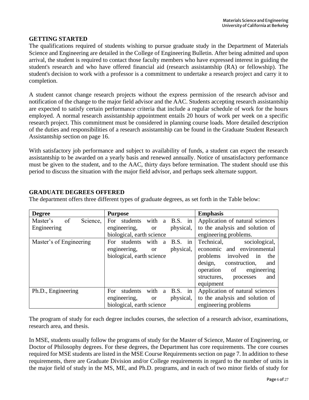#### **GETTING STARTED**

The qualifications required of students wishing to pursue graduate study in the Department of Materials Science and Engineering are detailed in the College of Engineering Bulletin. After being admitted and upon arrival, the student is required to contact those faculty members who have expressed interest in guiding the student's research and who have offered financial aid (research assistantship (RA) or fellowship). The student's decision to work with a professor is a commitment to undertake a research project and carry it to completion.

A student cannot change research projects without the express permission of the research advisor and notification of the change to the major field advisor and the AAC. Students accepting research assistantship are expected to satisfy certain performance criteria that include a regular schedule of work for the hours employed. A normal research assistantship appointment entails 20 hours of work per week on a specific research project. This commitment must be considered in planning course loads. More detailed description of the duties and responsibilities of a research assistantship can be found in the Graduate Student Research Assistantship section on page 16.

With satisfactory job performance and subject to availability of funds, a student can expect the research assistantship to be awarded on a yearly basis and renewed annually. Notice of unsatisfactory performance must be given to the student, and to the AAC, thirty days before termination. The student should use this period to discuss the situation with the major field advisor, and perhaps seek alternate support.

| <b>Degree</b>              | <b>Purpose</b>                             | <b>Emphasis</b>                   |
|----------------------------|--------------------------------------------|-----------------------------------|
| of<br>Master's<br>Science, | B.S. in<br>with<br>For<br>students<br>a    | Application of natural sciences   |
| Engineering                | physical,<br>engineering,<br><b>or</b>     | to the analysis and solution of   |
|                            | biological, earth science                  | engineering problems.             |
| Master's of Engineering    | with<br>B.S. in<br>For students<br>a       | Technical,<br>sociological,       |
|                            | physical,<br>engineering,<br><sub>or</sub> | economic and environmental        |
|                            | biological, earth science                  | problems<br>involved<br>in<br>the |
|                            |                                            | design,<br>construction,<br>and   |
|                            |                                            | of<br>operation<br>engineering    |
|                            |                                            | and<br>structures,<br>processes   |
|                            |                                            | equipment                         |
| Ph.D., Engineering         | B.S. in<br>with<br>students<br>For<br>a    | Application of natural sciences   |
|                            | engineering,<br>physical,<br><b>or</b>     | to the analysis and solution of   |
|                            | biological, earth science                  | engineering problems              |

**GRADUATE DEGREES OFFERED**

The department offers three different types of graduate degrees, as set forth in the Table below:

The program of study for each degree includes courses, the selection of a research advisor, examinations, research area, and thesis.

In MSE, students usually follow the programs of study for the Master of Science, Master of Engineering, or Doctor of Philosophy degrees. For these degrees, the Department has core requirements. The core courses required for MSE students are listed in the MSE Course Requirements section on page 7. In addition to these requirements, there are Graduate Division and/or College requirements in regard to the number of units in the major field of study in the MS, ME, and Ph.D. programs, and in each of two minor fields of study for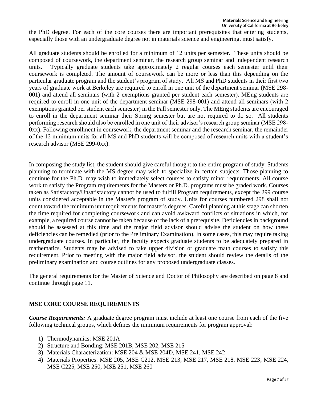the PhD degree. For each of the core courses there are important prerequisites that entering students, especially those with an undergraduate degree not in materials science and engineering, must satisfy.

All graduate students should be enrolled for a minimum of 12 units per semester. These units should be composed of coursework, the department seminar, the research group seminar and independent research units. Typically graduate students take approximately 2 regular courses each semester until their coursework is completed. The amount of coursework can be more or less than this depending on the particular graduate program and the student's program of study. All MS and PhD students in their first two years of graduate work at Berkeley are required to enroll in one unit of the department seminar (MSE 298- 001) and attend all seminars (with 2 exemptions granted per student each semester). MEng students are required to enroll in one unit of the department seminar (MSE 298-001) and attend all seminars (with 2 exemptions granted per student each semester) in the Fall semester only. The MEng students are encouraged to enroll in the department seminar their Spring semester but are not required to do so. All students performing research should also be enrolled in one unit of their advisor's research group seminar (MSE 298- 0xx). Following enrollment in coursework, the department seminar and the research seminar, the remainder of the 12 minimum units for all MS and PhD students will be composed of research units with a student's research advisor (MSE 299-0xx).

In composing the study list, the student should give careful thought to the entire program of study. Students planning to terminate with the MS degree may wish to specialize in certain subjects. Those planning to continue for the Ph.D. may wish to immediately select courses to satisfy minor requirements. All course work to satisfy the Program requirements for the Masters or Ph.D. programs must be graded work. Courses taken as Satisfactory/Unsatisfactory cannot be used to fulfill Program requirements, except the 299 course units considered acceptable in the Master's program of study. Units for courses numbered 298 shall not count toward the minimum unit requirements for master's degrees. Careful planning at this stage can shorten the time required for completing coursework and can avoid awkward conflicts of situations in which, for example, a required course cannot be taken because of the lack of a prerequisite. Deficiencies in background should be assessed at this time and the major field advisor should advise the student on how these deficiencies can be remedied (prior to the Preliminary Examination). In some cases, this may require taking undergraduate courses. In particular, the faculty expects graduate students to be adequately prepared in mathematics. Students may be advised to take upper division or graduate math courses to satisfy this requirement. Prior to meeting with the major field advisor, the student should review the details of the preliminary examination and course outlines for any proposed undergraduate classes.

The general requirements for the Master of Science and Doctor of Philosophy are described on page 8 and continue through page 11.

# **MSE CORE COURSE REQUIREMENTS**

*Course Requirements:* A graduate degree program must include at least one course from each of the five following technical groups, which defines the minimum requirements for program approval:

- 1) Thermodynamics: MSE 201A
- 2) Structure and Bonding: MSE 201B, MSE 202, MSE 215
- 3) Materials Characterization: MSE 204 & MSE 204D, MSE 241, MSE 242
- 4) Materials Properties: MSE 205, MSE C212, MSE 213, MSE 217, MSE 218, MSE 223, MSE 224, MSE C225, MSE 250, MSE 251, MSE 260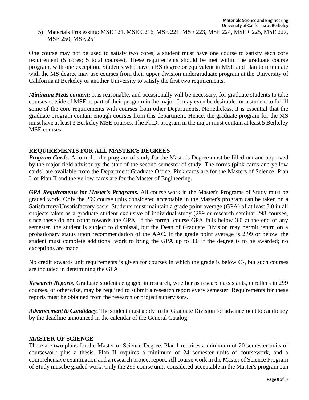One course may not be used to satisfy two cores; a student must have one course to satisfy each core requirement (5 cores; 5 total courses). These requirements should be met within the graduate course program, with one exception. Students who have a BS degree or equivalent in MSE and plan to terminate with the MS degree may use courses from their upper division undergraduate program at the University of California at Berkeley or another University to satisfy the first two requirements.

*Minimum MSE content:* It is reasonable, and occasionally will be necessary, for graduate students to take courses outside of MSE as part of their program in the major. It may even be desirable for a student to fulfill some of the core requirements with courses from other Departments. Nonetheless, it is essential that the graduate program contain enough courses from this department. Hence, the graduate program for the MS must have at least 3 Berkeley MSE courses. The Ph.D. program in the major must contain at least 5 Berkeley MSE courses.

## **REQUIREMENTS FOR ALL MASTER'S DEGREES**

*Program Cards.* A form for the program of study for the Master's Degree must be filled out and approved by the major field advisor by the start of the second semester of study. The forms (pink cards and yellow cards) are available from the Department Graduate Office. Pink cards are for the Masters of Science, Plan I, or Plan II and the yellow cards are for the Master of Engineering.

*GPA Requirements for Master's Programs.* All course work in the Master's Programs of Study must be graded work. Only the 299 course units considered acceptable in the Master's program can be taken on a Satisfactory/Unsatisfactory basis. Students must maintain a grade point average (GPA) of at least 3.0 in all subjects taken as a graduate student exclusive of individual study (299 or research seminar 298 courses, since these do not count towards the GPA. If the formal course GPA falls below 3.0 at the end of any semester, the student is subject to dismissal, but the Dean of Graduate Division may permit return on a probationary status upon recommendation of the AAC. If the grade point average is 2.99 or below, the student must complete additional work to bring the GPA up to 3.0 if the degree is to be awarded; no exceptions are made.

No credit towards unit requirements is given for courses in which the grade is below C-, but such courses are included in determining the GPA.

*Research Reports.* Graduate students engaged in research, whether as research assistants, enrollees in 299 courses, or otherwise, may be required to submit a research report every semester. Requirements for these reports must be obtained from the research or project supervisors.

*Advancement to Candidacy.* The student must apply to the Graduate Division for advancement to candidacy by the deadline announced in the calendar of the General Catalog.

#### **MASTER OF SCIENCE**

There are two plans for the Master of Science Degree. Plan I requires a minimum of 20 semester units of coursework plus a thesis. Plan II requires a minimum of 24 semester units of coursework, and a comprehensive examination and a research project report. All course work in the Master of Science Program of Study must be graded work. Only the 299 course units considered acceptable in the Master's program can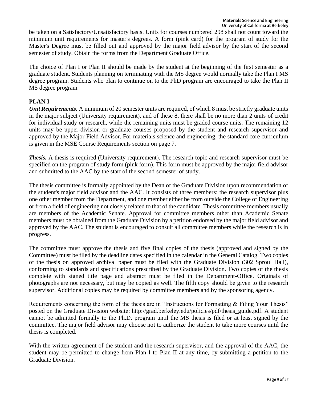be taken on a Satisfactory/Unsatisfactory basis. Units for courses numbered 298 shall not count toward the minimum unit requirements for master's degrees. A form (pink card) for the program of study for the Master's Degree must be filled out and approved by the major field advisor by the start of the second semester of study. Obtain the forms from the Department Graduate Office.

The choice of Plan I or Plan II should be made by the student at the beginning of the first semester as a graduate student. Students planning on terminating with the MS degree would normally take the Plan I MS degree program. Students who plan to continue on to the PhD program are encouraged to take the Plan II MS degree program.

# **PLAN I**

*Unit Requirements.* A minimum of 20 semester units are required, of which 8 must be strictly graduate units in the major subject (University requirement), and of these 8, there shall be no more than 2 units of credit for individual study or research, while the remaining units must be graded course units. The remaining 12 units may be upper-division or graduate courses proposed by the student and research supervisor and approved by the Major Field Advisor. For materials science and engineering, the standard core curriculum is given in the MSE Course Requirements section on page 7.

*Thesis.* A thesis is required (University requirement). The research topic and research supervisor must be specified on the program of study form (pink form). This form must be approved by the major field advisor and submitted to the AAC by the start of the second semester of study.

The thesis committee is formally appointed by the Dean of the Graduate Division upon recommendation of the student's major field advisor and the AAC. It consists of three members: the research supervisor plus one other member from the Department, and one member either be from outside the College of Engineering or from a field of engineering not closely related to that of the candidate. Thesis committee members usually are members of the Academic Senate. Approval for committee members other than Academic Senate members must be obtained from the Graduate Division by a petition endorsed by the major field advisor and approved by the AAC. The student is encouraged to consult all committee members while the research is in progress.

The committee must approve the thesis and five final copies of the thesis (approved and signed by the Committee) must be filed by the deadline dates specified in the calendar in the General Catalog. Two copies of the thesis on approved archival paper must be filed with the Graduate Division (302 Sproul Hall), conforming to standards and specifications prescribed by the Graduate Division. Two copies of the thesis complete with signed title page and abstract must be filed in the Department-Office. Originals of photographs are not necessary, but may be copied as well. The fifth copy should be given to the research supervisor. Additional copies may be required by committee members and by the sponsoring agency.

Requirements concerning the form of the thesis are in "Instructions for Formatting & Filing Your Thesis" posted on the Graduate Division website: http://grad.berkeley.edu/policies/pdf/thesis\_guide.pdf. A student cannot be admitted formally to the Ph.D. program until the MS thesis is filed or at least signed by the committee. The major field advisor may choose not to authorize the student to take more courses until the thesis is completed.

With the written agreement of the student and the research supervisor, and the approval of the AAC, the student may be permitted to change from Plan I to Plan II at any time, by submitting a petition to the Graduate Division.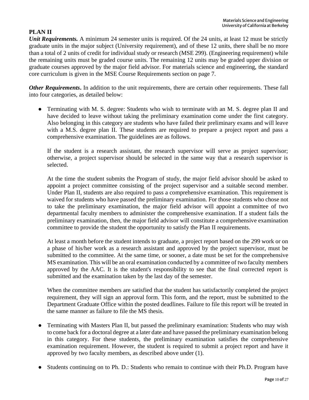# **PLAN II**

*Unit Requirements.* A minimum 24 semester units is required. Of the 24 units, at least 12 must be strictly graduate units in the major subject (University requirement), and of these 12 units, there shall be no more than a total of 2 units of credit for individual study or research (MSE 299). (Engineering requirement) while the remaining units must be graded course units. The remaining 12 units may be graded upper division or graduate courses approved by the major field advisor. For materials science and engineering, the standard core curriculum is given in the MSE Course Requirements section on page 7.

*Other Requirements***.** In addition to the unit requirements, there are certain other requirements. These fall into four categories, as detailed below:

• Terminating with M. S. degree: Students who wish to terminate with an M. S. degree plan II and have decided to leave without taking the preliminary examination come under the first category. Also belonging in this category are students who have failed their preliminary exams and will leave with a M.S. degree plan II. These students are required to prepare a project report and pass a comprehensive examination. The guidelines are as follows.

If the student is a research assistant, the research supervisor will serve as project supervisor; otherwise, a project supervisor should be selected in the same way that a research supervisor is selected.

At the time the student submits the Program of study, the major field advisor should be asked to appoint a project committee consisting of the project supervisor and a suitable second member. Under Plan II, students are also required to pass a comprehensive examination. This requirement is waived for students who have passed the preliminary examination. For those students who chose not to take the preliminary examination, the major field advisor will appoint a committee of two departmental faculty members to administer the comprehensive examination. If a student fails the preliminary examination, then, the major field advisor will constitute a comprehensive examination committee to provide the student the opportunity to satisfy the Plan II requirements.

At least a month before the student intends to graduate, a project report based on the 299 work or on a phase of his/her work as a research assistant and approved by the project supervisor, must be submitted to the committee. At the same time, or sooner, a date must be set for the comprehensive MS examination. This will be an oral examination conducted by a committee of two faculty members approved by the AAC. It is the student's responsibility to see that the final corrected report is submitted and the examination taken by the last day of the semester.

When the committee members are satisfied that the student has satisfactorily completed the project requirement, they will sign an approval form. This form, and the report, must be submitted to the Department Graduate Office within the posted deadlines. Failure to file this report will be treated in the same manner as failure to file the MS thesis.

- Terminating with Masters Plan II, but passed the preliminary examination: Students who may wish to come back for a doctoral degree at a later date and have passed the preliminary examination belong in this category. For these students, the preliminary examination satisfies the comprehensive examination requirement. However, the student is required to submit a project report and have it approved by two faculty members, as described above under (1).
- Students continuing on to Ph. D.: Students who remain to continue with their Ph.D. Program have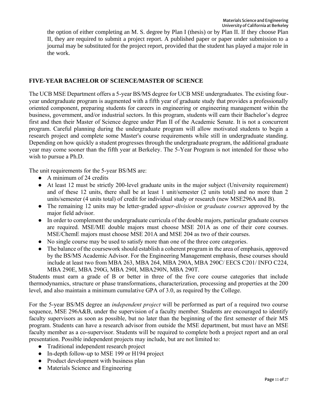the option of either completing an M. S. degree by Plan I (thesis) or by Plan II. If they choose Plan II, they are required to submit a project report. A published paper or paper under submission to a journal may be substituted for the project report, provided that the student has played a major role in the work.

# **FIVE-YEAR BACHELOR OF SCIENCE/MASTER OF SCIENCE**

The UCB MSE Department offers a 5-year BS/MS degree for UCB MSE undergraduates. The existing fouryear undergraduate program is augmented with a fifth year of graduate study that provides a professionally oriented component, preparing students for careers in engineering or engineering management within the business, government, and/or industrial sectors. In this program, students will earn their Bachelor's degree first and then their Master of Science degree under Plan II of the Academic Senate. It is not a concurrent program. Careful planning during the undergraduate program will allow motivated students to begin a research project and complete some Master's course requirements while still in undergraduate standing. Depending on how quickly a student progresses through the undergraduate program, the additional graduate year may come sooner than the fifth year at Berkeley. The 5-Year Program is not intended for those who wish to pursue a Ph.D.

The unit requirements for the 5-year BS/MS are:

- $\bullet$  A minimum of 24 credits
- At least 12 must be strictly 200-level graduate units in the major subject (University requirement) and of these 12 units, there shall be at least 1 unit/semester (2 units total) and no more than 2 units/semester (4 units total) of credit for individual study or research (new MSE296A and B).
- The remaining 12 units may be letter-graded *upper-division* or *graduate courses* approved by the major field advisor.
- In order to complement the undergraduate curricula of the double majors, particular graduate courses are required. MSE/ME double majors must choose MSE 201A as one of their core courses. MSE/ChemE majors must choose MSE 201A and MSE 204 as two of their courses.
- No single course may be used to satisfy more than one of the three core categories.
- The balance of the coursework should establish a coherent program in the area of emphasis, approved by the BS/MS Academic Advisor. For the Engineering Management emphasis, these courses should include at least two from MBA 263, MBA 264, MBA 290A, MBA 290C/ EECS C201/ INFO C224, MBA 290E, MBA 290G, MBA 290I, MBA290N, MBA 290T.

Students must earn a grade of B or better in three of the five core course categories that include thermodynamics, structure or phase transformations, characterization, processing and properties at the 200 level, and also maintain a minimum cumulative GPA of 3.0, as required by the College.

For the 5-year BS/MS degree an *independent project* will be performed as part of a required two course sequence, MSE 296A&B, under the supervision of a faculty member. Students are encouraged to identify faculty supervisors as soon as possible, but no later than the beginning of the first semester of their MS program. Students can have a research advisor from outside the MSE department, but must have an MSE faculty member as a co-supervisor. Students will be required to complete both a project report and an oral presentation. Possible independent projects may include, but are not limited to:

- Traditional independent research project
- In-depth follow-up to MSE 199 or H194 project
- Product development with business plan
- Materials Science and Engineering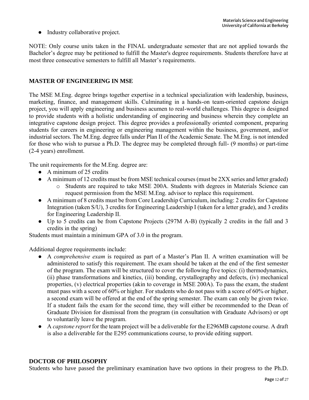• Industry collaborative project.

NOTE: Only course units taken in the FINAL undergraduate semester that are not applied towards the Bachelor's degree may be petitioned to fulfill the Master's degree requirements. Students therefore have at most three consecutive semesters to fulfill all Master's requirements.

#### **MASTER OF ENGINEERING IN MSE**

The MSE M.Eng. degree brings together expertise in a technical specialization with leadership, business, marketing, finance, and management skills. Culminating in a hands-on team-oriented capstone design project, you will apply engineering and business acumen to real-world challenges. This degree is designed to provide students with a holistic understanding of engineering and business wherein they complete an integrative capstone design project. This degree provides a professionally oriented component, preparing students for careers in engineering or engineering management within the business, government, and/or industrial sectors. The M.Eng. degree falls under Plan II of the Academic Senate. The M.Eng. is not intended for those who wish to pursue a Ph.D. The degree may be completed through full- (9 months) or part-time (2-4 years) enrollment.

The unit requirements for the M.Eng. degree are:

- $\bullet$  A minimum of 25 credits
- A minimum of 12 credits must be from MSE technical courses (must be 2XX series and letter graded)
	- o Students are required to take MSE 200A. Students with degrees in Materials Science can request permission from the MSE M.Eng. advisor to replace this requirement.
- A minimum of 8 credits must be from Core Leadership Curriculum, including: 2 credits for Capstone Integration (taken S/U), 3 credits for Engineering Leadership I (taken for a letter grade), and 3 credits for Engineering Leadership II.
- Up to 5 credits can be from Capstone Projects (297M A-B) (typically 2 credits in the fall and 3 credits in the spring)

Students must maintain a minimum GPA of 3.0 in the program.

Additional degree requirements include:

- A *comprehensive exam* is required as part of a Master's Plan II. A written examination will be administered to satisfy this requirement. The exam should be taken at the end of the first semester of the program. The exam will be structured to cover the following five topics: (i) thermodynamics, (ii) phase transformations and kinetics, (iii) bonding, crystallography and defects, (iv) mechanical properties, (v) electrical properties (akin to coverage in MSE 200A). To pass the exam, the student must pass with a score of 60% or higher. For students who do not pass with a score of 60% or higher, a second exam will be offered at the end of the spring semester. The exam can only be given twice. If a student fails the exam for the second time, they will either be recommended to the Dean of Graduate Division for dismissal from the program (in consultation with Graduate Advisors) or opt to voluntarily leave the program.
- A *capstone report* for the team project will be a deliverable for the E296MB capstone course. A draft is also a deliverable for the E295 communications course, to provide editing support.

## **DOCTOR OF PHILOSOPHY**

Students who have passed the preliminary examination have two options in their progress to the Ph.D.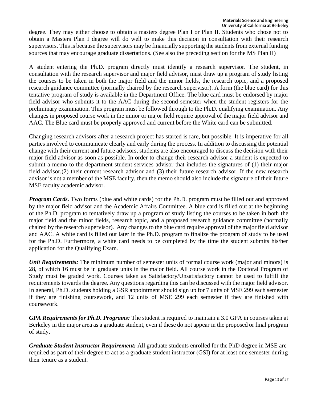degree. They may either choose to obtain a masters degree Plan I or Plan II. Students who chose not to obtain a Masters Plan I degree will do well to make this decision in consultation with their research supervisors. This is because the supervisors may be financially supporting the students from external funding sources that may encourage graduate dissertations. (See also the preceding section for the MS Plan II)

A student entering the Ph.D. program directly must identify a research supervisor. The student, in consultation with the research supervisor and major field advisor, must draw up a program of study listing the courses to be taken in both the major field and the minor fields, the research topic, and a proposed research guidance committee (normally chaired by the research supervisor). A form (the blue card) for this tentative program of study is available in the Department Office. The blue card must be endorsed by major field advisor who submits it to the AAC during the second semester when the student registers for the preliminary examination. This program must be followed through to the Ph.D. qualifying examination. Any changes in proposed course work in the minor or major field require approval of the major field advisor and AAC. The Blue card must be properly approved and current before the White card can be submitted.

Changing research advisors after a research project has started is rare, but possible. It is imperative for all parties involved to communicate clearly and early during the process. In addition to discussing the potential change with their current and future advisors, students are also encouraged to discuss the decision with their major field advisor as soon as possible. In order to change their research advisor a student is expected to submit a memo to the department student services advisor that includes the signatures of (1) their major field advisor,(2) their current research advisor and (3) their future research advisor. If the new research advisor is not a member of the MSE faculty, then the memo should also include the signature of their future MSE faculty academic advisor.

*Program Cards.* Two forms (blue and white cards) for the Ph.D. program must be filled out and approved by the major field advisor and the Academic Affairs Committee. A blue card is filled out at the beginning of the Ph.D. program to tentatively draw up a program of study listing the courses to be taken in both the major field and the minor fields, research topic, and a proposed research guidance committee (normally chaired by the research supervisor). Any changes to the blue card require approval of the major field advisor and AAC. A white card is filled out later in the Ph.D. program to finalize the program of study to be used for the Ph.D. Furthermore, a white card needs to be completed by the time the student submits his/her application for the Qualifying Exam.

*Unit Requirements:* The minimum number of semester units of formal course work (major and minors) is 28, of which 16 must be in graduate units in the major field. All course work in the Doctoral Program of Study must be graded work. Courses taken as Satisfactory/Unsatisfactory cannot be used to fulfill the requirements towards the degree. Any questions regarding this can be discussed with the major field advisor. In general, Ph.D. students holding a GSR appointment should sign up for 7 units of MSE 299 each semester if they are finishing coursework, and 12 units of MSE 299 each semester if they are finished with coursework.

*GPA Requirements for Ph.D. Programs:* The student is required to maintain a 3.0 GPA in courses taken at Berkeley in the major area as a graduate student, even if these do not appear in the proposed or final program of study.

*Graduate Student Instructor Requirement:* All graduate students enrolled for the PhD degree in MSE are required as part of their degree to act as a graduate student instructor (GSI) for at least one semester during their tenure as a student.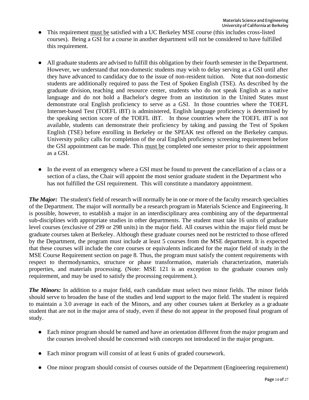- This requirement must be satisfied with a UC Berkeley MSE course (this includes cross-listed courses). Being a GSI for a course in another department will not be considered to have fulfilled this requirement.
- All graduate students are advised to fulfill this obligation by their fourth semester in the Department. However, we understand that non-domestic students may wish to delay serving as a GSI until after they have advanced to candidacy due to the issue of non-resident tuition. Note that non-domestic students are additionally required to pass the Test of Spoken English (TSE). As described by the graduate division, teaching and resource center, students who do not speak English as a native language and do not hold a Bachelor's degree from an institution in the United States must demonstrate oral English proficiency to serve as a GSI. In those countries where the TOEFL Internet-based Test (TOEFL iBT) is administered, English language proficiency is determined by the speaking section score of the TOEFL iBT. In those countries where the TOEFL iBT is not available, students can demonstrate their proficiency by taking and passing the Test of Spoken English (TSE) before enrolling in Berkeley or the SPEAK test offered on the Berkeley campus. University policy calls for completion of the oral English proficiency screening requirement before the GSI appointment can be made. This must be completed one semester prior to their appointment as a GSI.
- In the event of an emergency where a GSI must be found to prevent the cancellation of a class or a section of a class, the Chair will appoint the most senior graduate student in the Department who has not fulfilled the GSI requirement. This will constitute a mandatory appointment.

*The Major:* The student's field of research will normally be in one or more of the faculty research specialties of the Department. The major will normally be a research program in Materials Science and Engineering. It is possible, however, to establish a major in an interdisciplinary area combining any of the departmental sub-disciplines with appropriate studies in other departments. The student must take 16 units of graduate level courses (exclusive of 299 or 298 units) in the major field. All courses within the major field must be graduate courses taken at Berkeley. Although these graduate courses need not be restricted to those offered by the Department, the program must include at least 5 courses from the MSE department. It is expected that these courses will include the core courses or equivalents indicated for the major field of study in the MSE Course Requirement section on page 8. Thus, the program must satisfy the content requirements with respect to thermodynamics, structure or phase transformation, materials characterization, materials properties, and materials processing. (Note: MSE 121 is an exception to the graduate courses only requirement, and may be used to satisfy the processing requirement.).

*The Minors:* In addition to a major field, each candidate must select two minor fields. The minor fields should serve to broaden the base of the studies and lend support to the major field. The student is required to maintain a 3.0 average in each of the Minors, and any other courses taken at Berkeley as a graduate student that are not in the major area of study, even if these do not appear in the proposed final program of study.

- Each minor program should be named and have an orientation different from the major program and the courses involved should be concerned with concepts not introduced in the major program.
- Each minor program will consist of at least 6 units of graded coursework.
- One minor program should consist of courses outside of the Department (Engineering requirement)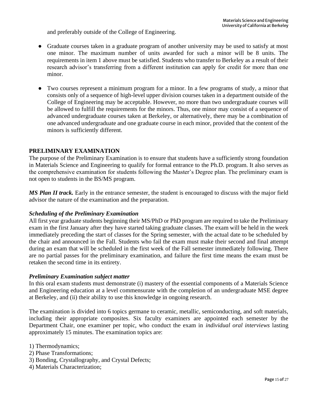and preferably outside of the College of Engineering.

- Graduate courses taken in a graduate program of another university may be used to satisfy at most one minor. The maximum number of units awarded for such a minor will be 8 units. The requirements in item 1 above must be satisfied. Students who transfer to Berkeley as a result of their research advisor's transferring from a different institution can apply for credit for more than one minor.
- Two courses represent a minimum program for a minor. In a few programs of study, a minor that consists only of a sequence of high-level upper division courses taken in a department outside of the College of Engineering may be acceptable. However, no more than two undergraduate courses will be allowed to fulfill the requirements for the minors. Thus, one minor may consist of a sequence of advanced undergraduate courses taken at Berkeley, or alternatively, there may be a combination of one advanced undergraduate and one graduate course in each minor, provided that the content of the minors is sufficiently different.

#### **PRELIMINARY EXAMINATION**

The purpose of the Preliminary Examination is to ensure that students have a sufficiently strong foundation in Materials Science and Engineering to qualify for formal entrance to the Ph.D. program. It also serves as the comprehensive examination for students following the Master's Degree plan. The preliminary exam is not open to students in the BS/MS program.

*MS Plan II track.* Early in the entrance semester, the student is encouraged to discuss with the major field advisor the nature of the examination and the preparation.

#### *Scheduling of the Preliminary Examination*

All first year graduate students beginning their MS/PhD or PhD program are required to take the Preliminary exam in the first January after they have started taking graduate classes. The exam will be held in the week immediately preceding the start of classes for the Spring semester, with the actual date to be scheduled by the chair and announced in the Fall. Students who fail the exam must make their second and final attempt during an exam that will be scheduled in the first week of the Fall semester immediately following. There are no partial passes for the preliminary examination, and failure the first time means the exam must be retaken the second time in its entirety.

#### *Preliminary Examination subject matter*

In this oral exam students must demonstrate (i) mastery of the essential components of a Materials Science and Engineering education at a level commensurate with the completion of an undergraduate MSE degree at Berkeley, and (ii) their ability to use this knowledge in ongoing research.

The examination is divided into 6 topics germane to ceramic, metallic, semiconducting, and soft materials, including their appropriate composites. Six faculty examiners are appointed each semester by the Department Chair, one examiner per topic, who conduct the exam in *individual oral interviews* lasting approximately 15 minutes. The examination topics are:

1) Thermodynamics;

- 2) Phase Transformations;
- 3) Bonding, Crystallography, and Crystal Defects;
- 4) Materials Characterization;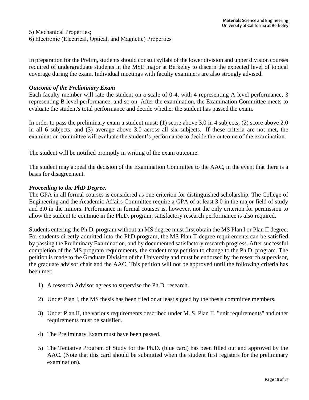5) Mechanical Properties; 6) Electronic (Electrical, Optical, and Magnetic) Properties

In preparation for the Prelim, students should consult syllabi of the lower division and upper division courses required of undergraduate students in the MSE major at Berkeley to discern the expected level of topical coverage during the exam. Individual meetings with faculty examiners are also strongly advised.

#### *Outcome of the Preliminary Exam*

Each faculty member will rate the student on a scale of 0-4, with 4 representing A level performance, 3 representing B level performance, and so on. After the examination, the Examination Committee meets to evaluate the student's total performance and decide whether the student has passed the exam.

In order to pass the preliminary exam a student must: (1) score above 3.0 in 4 subjects; (2) score above 2.0 in all 6 subjects; and (3) average above 3.0 across all six subjects. If these criteria are not met, the examination committee will evaluate the student's performance to decide the outcome of the examination.

The student will be notified promptly in writing of the exam outcome.

The student may appeal the decision of the Examination Committee to the AAC, in the event that there is a basis for disagreement.

#### *Proceeding to the PhD Degree.*

The GPA in all formal courses is considered as one criterion for distinguished scholarship. The College of Engineering and the Academic Affairs Committee require a GPA of at least 3.0 in the major field of study and 3.0 in the minors. Performance in formal courses is, however, not the only criterion for permission to allow the student to continue in the Ph.D. program; satisfactory research performance is also required.

Students entering the Ph.D. program without an MS degree must first obtain the MS Plan I or Plan II degree. For students directly admitted into the PhD program, the MS Plan II degree requirements can be satisfied by passing the Preliminary Examination, and by documented satisfactory research progress. After successful completion of the MS program requirements, the student may petition to change to the Ph.D. program. The petition is made to the Graduate Division of the University and must be endorsed by the research supervisor, the graduate advisor chair and the AAC. This petition will not be approved until the following criteria has been met:

- 1) A research Advisor agrees to supervise the Ph.D. research.
- 2) Under Plan I, the MS thesis has been filed or at least signed by the thesis committee members.
- 3) Under Plan II, the various requirements described under M. S. Plan II, "unit requirements" and other requirements must be satisfied.
- 4) The Preliminary Exam must have been passed.
- 5) The Tentative Program of Study for the Ph.D. (blue card) has been filled out and approved by the AAC. (Note that this card should be submitted when the student first registers for the preliminary examination).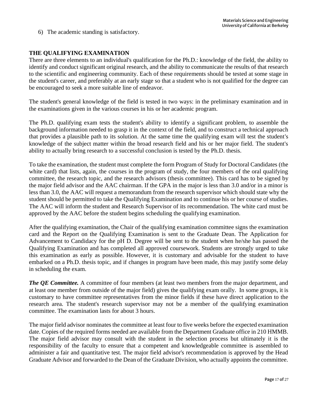6) The academic standing is satisfactory.

## **THE QUALIFYING EXAMINATION**

There are three elements to an individual's qualification for the Ph.D.: knowledge of the field, the ability to identify and conduct significant original research, and the ability to communicate the results of that research to the scientific and engineering community. Each of these requirements should be tested at some stage in the student's career, and preferably at an early stage so that a student who is not qualified for the degree can be encouraged to seek a more suitable line of endeavor.

The student's general knowledge of the field is tested in two ways: in the preliminary examination and in the examinations given in the various courses in his or her academic program.

The Ph.D. qualifying exam tests the student's ability to identify a significant problem, to assemble the background information needed to grasp it in the context of the field, and to construct a technical approach that provides a plausible path to its solution. At the same time the qualifying exam will test the student's knowledge of the subject matter within the broad research field and his or her major field. The student's ability to actually bring research to a successful conclusion is tested by the Ph.D. thesis.

To take the examination, the student must complete the form Program of Study for Doctoral Candidates (the white card) that lists, again, the courses in the program of study, the four members of the oral qualifying committee, the research topic, and the research advisors (thesis committee). This card has to be signed by the major field advisor and the AAC chairman. If the GPA in the major is less than 3.0 and/or in a minor is less than 3.0, the AAC will request a memorandum from the research supervisor which should state why the student should be permitted to take the Qualifying Examination and to continue his or her course of studies. The AAC will inform the student and Research Supervisor of its recommendation. The white card must be approved by the AAC before the student begins scheduling the qualifying examination.

After the qualifying examination, the Chair of the qualifying examination committee signs the examination card and the Report on the Qualifying Examination is sent to the Graduate Dean. The Application for Advancement to Candidacy for the pH D. Degree will be sent to the student when he/she has passed the Qualifying Examination and has completed all approved coursework. Students are strongly urged to take this examination as early as possible. However, it is customary and advisable for the student to have embarked on a Ph.D. thesis topic, and if changes in program have been made, this may justify some delay in scheduling the exam.

*The QE Committee.* A committee of four members (at least two members from the major department, and at least one member from outside of the major field) gives the qualifying exam orally. In some groups, it is customary to have committee representatives from the minor fields if these have direct application to the research area. The student's research supervisor may not be a member of the qualifying examination committee. The examination lasts for about 3 hours.

The major field advisor nominates the committee at least four to five weeks before the expected examination date. Copies of the required forms needed are available from the Department Graduate office in 210 HMMB. The major field advisor may consult with the student in the selection process but ultimately it is the responsibility of the faculty to ensure that a competent and knowledgeable committee is assembled to administer a fair and quantitative test. The major field advisor's recommendation is approved by the Head Graduate Advisor and forwarded to the Dean of the Graduate Division, who actually appoints the committee.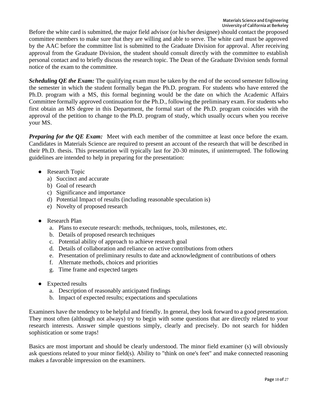Before the white card is submitted, the major field advisor (or his/her designee) should contact the proposed committee members to make sure that they are willing and able to serve. The white card must be approved by the AAC before the committee list is submitted to the Graduate Division for approval. After receiving approval from the Graduate Division, the student should consult directly with the committee to establish personal contact and to briefly discuss the research topic. The Dean of the Graduate Division sends formal notice of the exam to the committee.

*Scheduling QE the Exam:* The qualifying exam must be taken by the end of the second semester following the semester in which the student formally began the Ph.D. program. For students who have entered the Ph.D. program with a MS, this formal beginning would be the date on which the Academic Affairs Committee formally approved continuation for the Ph.D., following the preliminary exam. For students who first obtain an MS degree in this Department, the formal start of the Ph.D. program coincides with the approval of the petition to change to the Ph.D. program of study, which usually occurs when you receive your MS.

*Preparing for the OE Exam:* Meet with each member of the committee at least once before the exam. Candidates in Materials Science are required to present an account of the research that will be described in their Ph.D. thesis. This presentation will typically last for 20-30 minutes, if uninterrupted. The following guidelines are intended to help in preparing for the presentation:

- Research Topic
	- a) Succinct and accurate
	- b) Goal of research
	- c) Significance and importance
	- d) Potential Impact of results (including reasonable speculation is)
	- e) Novelty of proposed research
- Research Plan
	- a. Plans to execute research: methods, techniques, tools, milestones, etc.
	- b. Details of proposed research techniques
	- c. Potential ability of approach to achieve research goal
	- d. Details of collaboration and reliance on active contributions from others
	- e. Presentation of preliminary results to date and acknowledgment of contributions of others
	- f. Alternate methods, choices and priorities
	- g. Time frame and expected targets
- Expected results
	- a. Description of reasonably anticipated findings
	- b. Impact of expected results; expectations and speculations

Examiners have the tendency to be helpful and friendly. In general, they look forward to a good presentation. They most often (although not always) try to begin with some questions that are directly related to your research interests. Answer simple questions simply, clearly and precisely. Do not search for hidden sophistication or some traps!

Basics are most important and should be clearly understood. The minor field examiner (s) will obviously ask questions related to your minor field(s). Ability to "think on one's feet" and make connected reasoning makes a favorable impression on the examiners.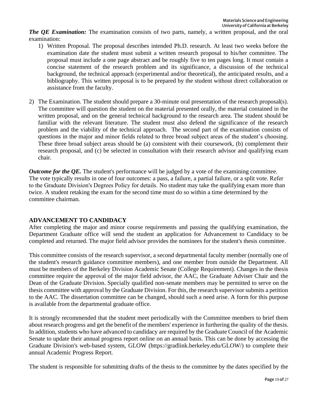*The QE Examination:* The examination consists of two parts, namely, a written proposal, and the oral examination:

- 1) Written Proposal. The proposal describes intended Ph.D. research. At least two weeks before the examination date the student must submit a written research proposal to his/her committee. The proposal must include a one page abstract and be roughly five to ten pages long. It must contain a concise statement of the research problem and its significance, a discussion of the technical background, the technical approach (experimental and/or theoretical), the anticipated results, and a bibliography. This written proposal is to be prepared by the student without direct collaboration or assistance from the faculty.
- 2) The Examination. The student should prepare a 30-minute oral presentation of the research proposal(s). The committee will question the student on the material presented orally, the material contained in the written proposal, and on the general technical background to the research area. The student should be familiar with the relevant literature. The student must also defend the significance of the research problem and the viability of the technical approach. The second part of the examination consists of questions in the major and minor fields related to three broad subject areas of the student's choosing. These three broad subject areas should be (a) consistent with their coursework, (b) complement their research proposal, and (c) be selected in consultation with their research advisor and qualifying exam chair.

*Outcome for the QE*. The student's performance will be judged by a vote of the examining committee. The vote typically results in one of four outcomes: a pass, a failure, a partial failure, or a split vote. Refer to the Graduate Division's Degrees Policy for details. No student may take the qualifying exam more than twice. A student retaking the exam for the second time must do so within a time determined by the committee chairman.

## **ADVANCEMENT TO CANDIDACY**

After completing the major and minor course requirements and passing the qualifying examination, the Department Graduate office will send the student an application for Advancement to Candidacy to be completed and returned. The major field advisor provides the nominees for the student's thesis committee.

This committee consists of the research supervisor, a second departmental faculty member (normally one of the student's research guidance committee members), and one member from outside the Department. All must be members of the Berkeley Division Academic Senate (College Requirement). Changes in the thesis committee require the approval of the major field advisor, the AAC, the Graduate Adviser Chair and the Dean of the Graduate Division. Specially qualified non-senate members may be permitted to serve on the thesis committee with approval by the Graduate Division. For this, the research supervisor submits a petition to the AAC. The dissertation committee can be changed, should such a need arise. A form for this purpose is available from the departmental graduate office.

It is strongly recommended that the student meet periodically with the Committee members to brief them about research progress and get the benefit of the members' experience in furthering the quality of the thesis. In addition, students who have advanced to candidacy are required by the Graduate Council of the Academic Senate to update their annual progress report online on an annual basis. This can be done by accessing the Graduate Division's web-based system, GLOW (https://gradlink.berkeley.edu/GLOW/) to complete their annual Academic Progress Report.

The student is responsible for submitting drafts of the thesis to the committee by the dates specified by the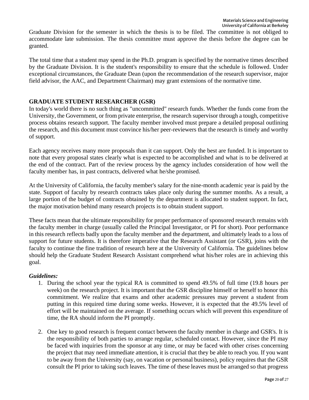Graduate Division for the semester in which the thesis is to be filed. The committee is not obliged to accommodate late submission. The thesis committee must approve the thesis before the degree can be granted.

The total time that a student may spend in the Ph.D. program is specified by the normative times described by the Graduate Division. It is the student's responsibility to ensure that the schedule is followed. Under exceptional circumstances, the Graduate Dean (upon the recommendation of the research supervisor, major field advisor, the AAC, and Department Chairman) may grant extensions of the normative time.

#### **GRADUATE STUDENT RESEARCHER (GSR)**

In today's world there is no such thing as "uncommitted" research funds. Whether the funds come from the University, the Government, or from private enterprise, the research supervisor through a tough, competitive process obtains research support. The faculty member involved must prepare a detailed proposal outlining the research, and this document must convince his/her peer-reviewers that the research is timely and worthy of support.

Each agency receives many more proposals than it can support. Only the best are funded. It is important to note that every proposal states clearly what is expected to be accomplished and what is to be delivered at the end of the contract. Part of the review process by the agency includes consideration of how well the faculty member has, in past contracts, delivered what he/she promised.

At the University of California, the faculty member's salary for the nine-month academic year is paid by the state. Support of faculty by research contracts takes place only during the summer months. As a result, a large portion of the budget of contracts obtained by the department is allocated to student support. In fact, the major motivation behind many research projects is to obtain student support.

These facts mean that the ultimate responsibility for proper performance of sponsored research remains with the faculty member in charge (usually called the Principal Investigator, or PI for short). Poor performance in this research reflects badly upon the faculty member and the department, and ultimately leads to a loss of support for future students. It is therefore imperative that the Research Assistant (or GSR), joins with the faculty to continue the fine tradition of research here at the University of California. The guidelines below should help the Graduate Student Research Assistant comprehend what his/her roles are in achieving this goal.

#### *Guidelines:*

- 1. During the school year the typical RA is committed to spend 49.5% of full time (19.8 hours per week) on the research project. It is important that the GSR discipline himself or herself to honor this commitment. We realize that exams and other academic pressures may prevent a student from putting in this required time during some weeks. However, it is expected that the 49.5% level of effort will be maintained on the average. If something occurs which will prevent this expenditure of time, the RA should inform the PI promptly.
- 2. One key to good research is frequent contact between the faculty member in charge and GSR's. It is the responsibility of both parties to arrange regular, scheduled contact. However, since the PI may be faced with inquiries from the sponsor at any time, or may be faced with other crises concerning the project that may need immediate attention, it is crucial that they be able to reach you. If you want to be away from the University (say, on vacation or personal business), policy requires that the GSR consult the PI prior to taking such leaves. The time of these leaves must be arranged so that progress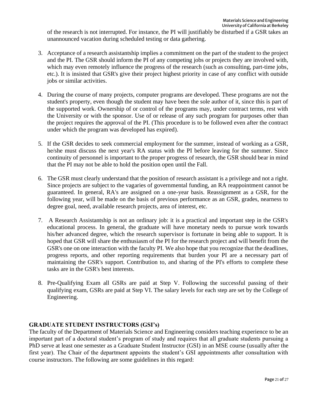of the research is not interrupted. For instance, the PI will justifiably be disturbed if a GSR takes an unannounced vacation during scheduled testing or data gathering.

- 3. Acceptance of a research assistantship implies a commitment on the part of the student to the project and the PI. The GSR should inform the PI of any competing jobs or projects they are involved with, which may even remotely influence the progress of the research (such as consulting, part-time jobs, etc.). It is insisted that GSR's give their project highest priority in case of any conflict with outside jobs or similar activities.
- 4. During the course of many projects, computer programs are developed. These programs are not the student's property, even though the student may have been the sole author of it, since this is part of the supported work. Ownership of or control of the programs may, under contract terms, rest with the University or with the sponsor. Use of or release of any such program for purposes other than the project requires the approval of the PI. (This procedure is to be followed even after the contract under which the program was developed has expired).
- 5. If the GSR decides to seek commercial employment for the summer, instead of working as a GSR, he/she must discuss the next year's RA status with the PI before leaving for the summer. Since continuity of personnel is important to the proper progress of research, the GSR should bear in mind that the PI may not be able to hold the position open until the Fall.
- 6. The GSR must clearly understand that the position of research assistant is a privilege and not a right. Since projects are subject to the vagaries of governmental funding, an RA reappointment cannot be guaranteed. In general, RA's are assigned on a one-year basis. Reassignment as a GSR, for the following year, will be made on the basis of previous performance as an GSR, grades, nearness to degree goal, need, available research projects, area of interest, etc.
- 7. A Research Assistantship is not an ordinary job: it is a practical and important step in the GSR's educational process. In general, the graduate will have monetary needs to pursue work towards his/her advanced degree, which the research supervisor is fortunate in being able to support. It is hoped that GSR will share the enthusiasm of the PI for the research project and will benefit from the GSR's one on one interaction with the faculty PI. We also hope that you recognize that the deadlines, progress reports, and other reporting requirements that burden your PI are a necessary part of maintaining the GSR's support. Contribution to, and sharing of the PI's efforts to complete these tasks are in the GSR's best interests.
- 8. Pre-Qualifying Exam all GSRs are paid at Step V. Following the successful passing of their qualifying exam, GSRs are paid at Step VI. The salary levels for each step are set by the College of Engineering.

## **GRADUATE STUDENT INSTRUCTORS (GSI's)**

The faculty of the Department of Materials Science and Engineering considers teaching experience to be an important part of a doctoral student's program of study and requires that all graduate students pursuing a PhD serve at least one semester as a Graduate Student Instructor (GSI) in an MSE course (usually after the first year). The Chair of the department appoints the student's GSI appointments after consultation with course instructors. The following are some guidelines in this regard: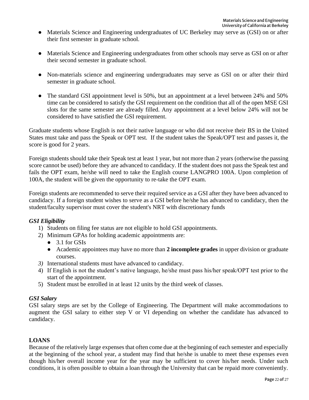- Materials Science and Engineering undergraduates of UC Berkeley may serve as (GSI) on or after their first semester in graduate school.
- Materials Science and Engineering undergraduates from other schools may serve as GSI on or after their second semester in graduate school.
- Non-materials science and engineering undergraduates may serve as GSI on or after their third semester in graduate school.
- The standard GSI appointment level is 50%, but an appointment at a level between 24% and 50% time can be considered to satisfy the GSI requirement on the condition that all of the open MSE GSI slots for the same semester are already filled. Any appointment at a level below 24% will not be considered to have satisfied the GSI requirement.

Graduate students whose English is not their native language or who did not receive their BS in the United States must take and pass the Speak or OPT test. If the student takes the Speak/OPT test and passes it, the score is good for 2 years.

Foreign students should take their Speak test at least 1 year, but not more than 2 years (otherwise the passing score cannot be used) before they are advanced to candidacy. If the student does not pass the Speak test and fails the OPT exam, he/she will need to take the English course LANGPRO 100A. Upon completion of 100A, the student will be given the opportunity to re-take the OPT exam.

Foreign students are recommended to serve their required service as a GSI after they have been advanced to candidacy. If a foreign student wishes to serve as a GSI before he/she has advanced to candidacy, then the student/faculty supervisor must cover the student's NRT with discretionary funds

## *GSI Eligibility*

- 1) Students on filing fee status are not eligible to hold GSI appointments.
- 2) Minimum GPAs for holding academic appointments are:
	- 3.1 for GSIs
	- Academic appointees may have no more than **2 incomplete grades** in upper division or graduate courses.
- *3)* International students must have advanced to candidacy.
- 4) If English is not the student's native language, he/she must pass his/her speak/OPT test prior to the start of the appointment.
- 5) Student must be enrolled in at least 12 units by the third week of classes.

# *GSI Salary*

GSI salary steps are set by the College of Engineering. The Department will make accommodations to augment the GSI salary to either step V or VI depending on whether the candidate has advanced to candidacy.

# **LOANS**

Because of the relatively large expenses that often come due at the beginning of each semester and especially at the beginning of the school year, a student may find that he/she is unable to meet these expenses even though his/her overall income year for the year may be sufficient to cover his/her needs. Under such conditions, it is often possible to obtain a loan through the University that can be repaid more conveniently.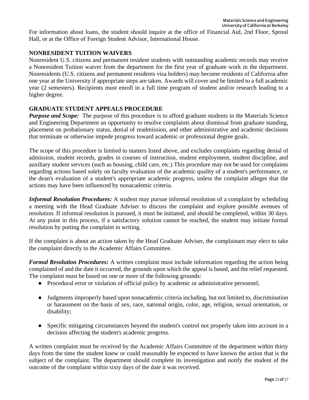For information about loans, the student should inquire at the office of Financial Aid, 2nd Floor, Sproul Hall, or at the Office of Foreign Student Advisor, International House.

# **NONRESIDENT TUITION WAIVERS**

Nonresident U.S. citizens and permanent resident students with outstanding academic records may receive a Nonresident Tuition waiver from the department for the first year of graduate work in the department. Nonresidents (U.S. citizens and permanent residents visa holders) may become residents of California after one year at the University if appropriate steps are taken. Awards will cover and be limited to a full academic year (2 semesters). Recipients must enroll in a full time program of student and/or research leading to a higher degree.

# **GRADUATE STUDENT APPEALS PROCEDURE**

*Purpose and Scope:* The purpose of this procedure is to afford graduate students in the Materials Science and Engineering Department an opportunity to resolve complaints about dismissal from graduate standing, placement on probationary status, denial of readmission, and other administrative and academic decisions that terminate or otherwise impede progress toward academic or professional degree goals.

The scope of this procedure is limited to matters listed above, and excludes complaints regarding denial of admission, student records, grades in courses of instruction, student employment, student discipline, and auxiliary student services (such as housing, child care, etc.) This procedure may not be used for complaints regarding actions based solely on faculty evaluation of the academic quality of a student's performance, or the dean's evaluation of a student's appropriate academic progress, unless the complaint alleges that the actions may have been influenced by nonacademic criteria.

*Informal Resolution Procedures:* A student may pursue informal resolution of a complaint by scheduling a meeting with the Head Graduate Adviser to discuss the complaint and explore possible avenues of resolution. If informal resolution is pursued, it must be initiated, and should be completed, within 30 days. At any point in this process, if a satisfactory solution cannot be reached, the student may initiate formal resolution by putting the complaint in writing.

If the complaint is about an action taken by the Head Graduate Adviser, the complainant may elect to take the complaint directly to the Academic Affairs Committee.

*Formal Resolution Procedures:* A written complaint must include information regarding the action being complained of and the date it occurred, the grounds upon which the appeal is based, and the relief requested. The complaint must be based on one or more of the following grounds:

- Procedural error or violation of official policy by academic or administrative personnel;
- Judgments improperly based upon nonacademic criteria including, but not limited to, discrimination or harassment on the basis of sex, race, national origin, color, age, religion, sexual orientation, or disability;
- Specific mitigating circumstances beyond the student's control not properly taken into account in a decision affecting the student's academic progress.

A written complaint must be received by the Academic Affairs Committee of the department within thirty days from the time the student knew or could reasonably be expected to have known the action that is the subject of the complaint. The department should complete its investigation and notify the student of the outcome of the complaint within sixty days of the date it was received.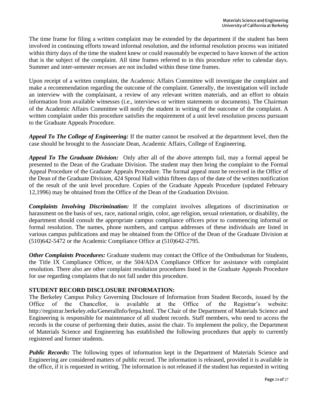The time frame for filing a written complaint may be extended by the department if the student has been involved in continuing efforts toward informal resolution, and the informal resolution process was initiated within thirty days of the time the student knew or could reasonably be expected to have known of the action that is the subject of the complaint. All time frames referred to in this procedure refer to calendar days. Summer and inter-semester recesses are not included within these time frames.

Upon receipt of a written complaint, the Academic Affairs Committee will investigate the complaint and make a recommendation regarding the outcome of the complaint. Generally, the investigation will include an interview with the complainant, a review of any relevant written materials, and an effort to obtain information from available witnesses (i.e., interviews or written statements or documents). The Chairman of the Academic Affairs Committee will notify the student in writing of the outcome of the complaint. A written complaint under this procedure satisfies the requirement of a unit level resolution process pursuant to the Graduate Appeals Procedure.

*Appeal To The College of Engineering:* If the matter cannot be resolved at the department level, then the case should be brought to the Associate Dean, Academic Affairs, College of Engineering.

*Appeal To The Graduate Division:* Only after all of the above attempts fail, may a formal appeal be presented to the Dean of the Graduate Division. The student may then bring the complaint to the Formal Appeal Procedure of the Graduate Appeals Procedure. The formal appeal must be received in the Office of the Dean of the Graduate Division, 424 Sproul Hall within fifteen days of the date of the written notification of the result of the unit level procedure. Copies of the Graduate Appeals Procedure (updated February 12,1996) may be obtained from the Office of the Dean of the Graduation Division.

*Complaints Involving Discrimination:* If the complaint involves allegations of discrimination or harassment on the basis of sex, race, national origin, color, age religion, sexual orientation, or disability, the department should consult the appropriate campus compliance officers prior to commencing informal or formal resolution. The names, phone numbers, and campus addresses of these individuals are listed in various campus publications and may be obtained from the Office of the Dean of the Graduate Division at (510)642-5472 or the Academic Compliance Office at (510)642-2795.

*Other Complaints Procedures:* Graduate students may contact the Office of the Ombudsman for Students, the Title IX Compliance Officer, or the 504/ADA Compliance Officer for assistance with complaint resolution. There also are other complaint resolution procedures listed in the Graduate Appeals Procedure for use regarding complaints that do not fall under this procedure.

#### **STUDENT RECORD DISCLOSURE INFORMATION:**

The Berkeley Campus Policy Governing Disclosure of Information from Student Records, issued by the Office of the Chancellor, is available at the Office of the Registrar's website: http://registrar.berkeley.edu/GeneralInfo/ferpa.html. The Chair of the Department of Materials Science and Engineering is responsible for maintenance of all student records. Staff members, who need to access the records in the course of performing their duties, assist the chair. To implement the policy, the Department of Materials Science and Engineering has established the following procedures that apply to currently registered and former students.

*Public Records:* The following types of information kept in the Department of Materials Science and Engineering are considered matters of public record. The information is released, provided it is available in the office, if it is requested in writing. The information is not released if the student has requested in writing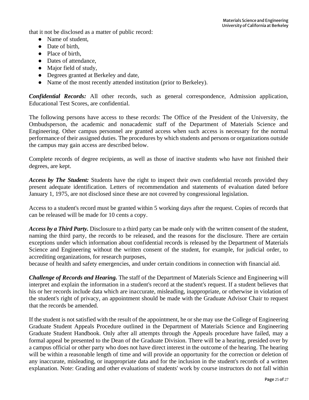that it not be disclosed as a matter of public record:

- Name of student,
- Date of birth.
- Place of birth,
- Dates of attendance,
- Major field of study,
- Degrees granted at Berkeley and date,
- Name of the most recently attended institution (prior to Berkeley).

*Confidential Records:* All other records, such as general correspondence, Admission application, Educational Test Scores, are confidential.

The following persons have access to these records: The Office of the President of the University, the Ombudsperson, the academic and nonacademic staff of the Department of Materials Science and Engineering. Other campus personnel are granted access when such access is necessary for the normal performance of their assigned duties. The procedures by which students and persons or organizations outside the campus may gain access are described below.

Complete records of degree recipients, as well as those of inactive students who have not finished their degrees, are kept.

*Access by The Student:* Students have the right to inspect their own confidential records provided they present adequate identification. Letters of recommendation and statements of evaluation dated before January 1, 1975, are not disclosed since these are not covered by congressional legislation.

Access to a student's record must be granted within 5 working days after the request. Copies of records that can be released will be made for 10 cents a copy.

*Access by a Third Party.* Disclosure to a third party can be made only with the written consent of the student, naming the third party, the records to be released, and the reasons for the disclosure. There are certain exceptions under which information about confidential records is released by the Department of Materials Science and Engineering without the written consent of the student, for example, for judicial order, to accrediting organizations, for research purposes,

because of health and safety emergencies, and under certain conditions in connection with financial aid.

*Challenge of Records and Hearing.* The staff of the Department of Materials Science and Engineering will interpret and explain the information in a student's record at the student's request. If a student believes that his or her records include data which are inaccurate, misleading, inappropriate, or otherwise in violation of the student's right of privacy, an appointment should be made with the Graduate Advisor Chair to request that the records be amended.

If the student is not satisfied with the result of the appointment, he or she may use the College of Engineering Graduate Student Appeals Procedure outlined in the Department of Materials Science and Engineering Graduate Student Handbook. Only after all attempts through the Appeals procedure have failed, may a formal appeal be presented to the Dean of the Graduate Division. There will be a hearing, presided over by a campus official or other party who does not have direct interest in the outcome of the hearing. The hearing will be within a reasonable length of time and will provide an opportunity for the correction or deletion of any inaccurate, misleading, or inappropriate data and for the inclusion in the student's records of a written explanation. Note: Grading and other evaluations of students' work by course instructors do not fall within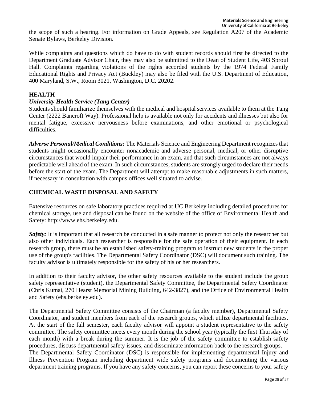the scope of such a hearing. For information on Grade Appeals, see Regulation A207 of the Academic Senate Bylaws, Berkeley Division.

While complaints and questions which do have to do with student records should first be directed to the Department Graduate Advisor Chair, they may also be submitted to the Dean of Student Life, 403 Sproul Hall. Complaints regarding violations of the rights accorded students by the 1974 Federal Family Educational Rights and Privacy Act (Buckley) may also be filed with the U.S. Department of Education, 400 Maryland, S.W., Room 3021, Washington, D.C. 20202.

#### **HEALTH**

#### *University Health Service (Tang Center)*

Students should familiarize themselves with the medical and hospital services available to them at the Tang Center (2222 Bancroft Way). Professional help is available not only for accidents and illnesses but also for mental fatigue, excessive nervousness before examinations, and other emotional or psychological difficulties.

*Adverse Personal/Medical Conditions:* The Materials Science and Engineering Department recognizes that students might occasionally encounter nonacademic and adverse personal, medical, or other disruptive circumstances that would impair their performance in an exam, and that such circumstances are not always predictable well ahead of the exam. In such circumstances, students are strongly urged to declare their needs before the start of the exam. The Department will attempt to make reasonable adjustments in such matters, if necessary in consultation with campus offices well situated to advise.

## **CHEMICAL WASTE DISPOSAL AND SAFETY**

Extensive resources on safe laboratory practices required at UC Berkeley including detailed procedures for chemical storage, use and disposal can be found on the website of the office of Environmental Health and Safety: [http://www.ehs.berkeley.edu.](http://www.ehs.berkeley.edu/)

*Safety*: It is important that all research be conducted in a safe manner to protect not only the researcher but also other individuals. Each researcher is responsible for the safe operation of their equipment. In each research group, there must be an established safety-training program to instruct new students in the proper use of the group's facilities. The Departmental Safety Coordinator (DSC) will document such training. The faculty advisor is ultimately responsible for the safety of his or her researchers.

In addition to their faculty advisor, the other safety resources available to the student include the group safety representative (student), the Departmental Safety Committee, the Departmental Safety Coordinator (Chris Kumai, 270 Hearst Memorial Mining Building, 642-3827), and the Office of Environmental Health and Safety (ehs.berkeley.edu).

The Departmental Safety Committee consists of the Chairman (a faculty member), Departmental Safety Coordinator, and student members from each of the research groups, which utilize departmental facilities. At the start of the fall semester, each faculty advisor will appoint a student representative to the safety committee. The safety committee meets every month during the school year (typically the first Thursday of each month) with a break during the summer. It is the job of the safety committee to establish safety procedures, discuss departmental safety issues, and disseminate information back to the research groups. The Departmental Safety Coordinator (DSC) is responsible for implementing departmental Injury and Illness Prevention Program including department wide safety programs and documenting the various department training programs. If you have any safety concerns, you can report these concerns to your safety